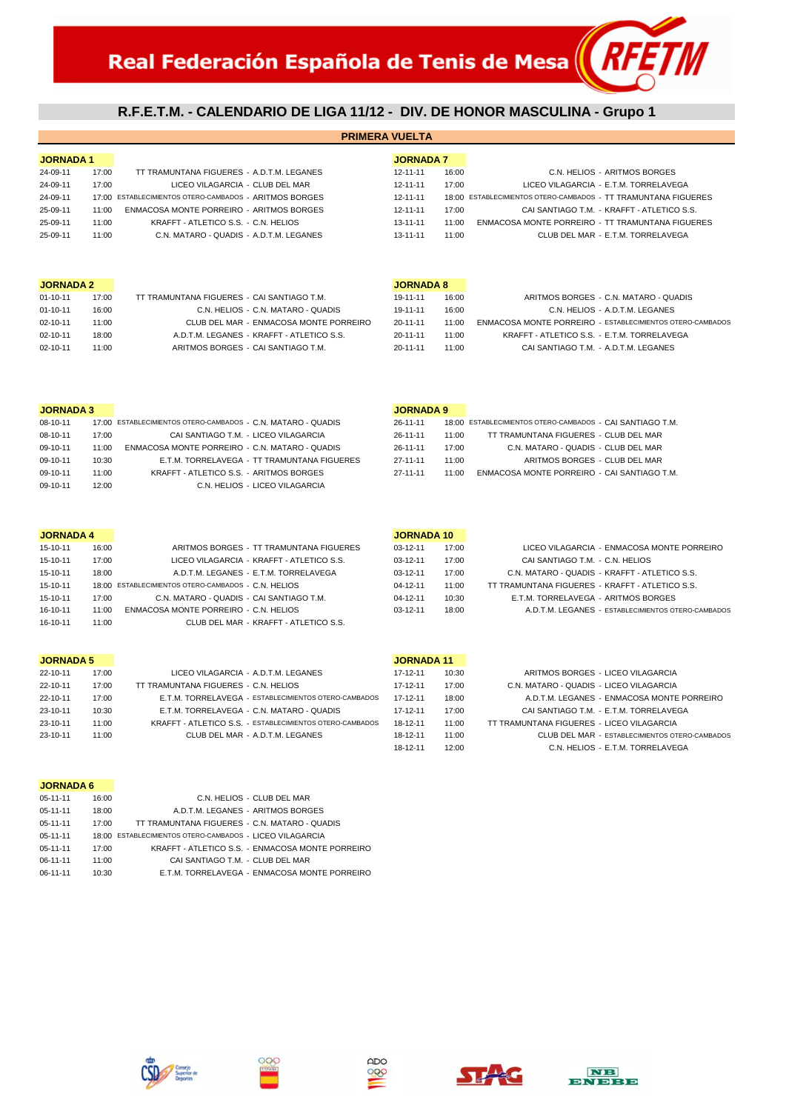# **R.F.E.T.M. - CALENDARIO DE LIGA 11/12 - DIV. DE HONOR MASCULINA - Grupo 1**

**PRIMERA VUELTA**

| <b>JORNADA1</b> |       |                                                        | <b>JORNADA 7</b> |       |                                                                |
|-----------------|-------|--------------------------------------------------------|------------------|-------|----------------------------------------------------------------|
| 24-09-11        | 17:00 | TT TRAMUNTANA FIGUERES - A.D.T.M. LEGANES              | 12-11-11         | 16:00 | C.N. HELIOS - ARITMOS BORGES                                   |
| 24-09-11        | 17:00 | LICEO VILAGARCIA - CLUB DEL MAR                        | 12-11-11         | 17:00 | LICEO VILAGARCIA - E.T.M. TORRELAVEGA                          |
| 24-09-11        |       | 17:00 ESTABLECIMIENTOS OTERO-CAMBADOS - ARITMOS BORGES | $12 - 11 - 11$   |       | 18:00 ESTABLECIMIENTOS OTERO-CAMBADOS - TT TRAMUNTANA FIGUERES |
| 25-09-11        | 11:00 | ENMACOSA MONTE PORREIRO - ARITMOS BORGES               | 12-11-11         | 17:00 | CAI SANTIAGO T.M. - KRAFFT - ATLETICO S.S.                     |
| 25-09-11        | 11:00 | KRAFFT - ATLETICO S.S. - C.N. HELIOS                   | $13 - 11 - 11$   | 11:00 | ENMACOSA MONTE PORREIRO - TT TRAMUNTANA FIGUERES               |
| 25-09-11        | 11:00 | C.N. MATARO - QUADIS - A.D.T.M. LEGANES                | 13-11-11         | 11:00 | CLUB DEL MAR - E.T.M. TORRELAVEGA                              |

#### **JORNADA 2 JORNADA 8**

| $01 - 10 - 11$ | 17:00 | TT TRAMUNTANA FIGUERES - CALSANTIAGO T M  | 19-11-11       | 16:00 | ARITMOS BORGES - C.N. MATARO - QUADIS            |
|----------------|-------|-------------------------------------------|----------------|-------|--------------------------------------------------|
| $01 - 10 - 11$ | 16:00 | C.N. HELIOS - C.N. MATARO - QUADIS        | 19-11-11       | 16:00 | C.N. HELIOS - A.D.T.M. LEGANES                   |
| $02 - 10 - 11$ | 11:00 | CLUB DEL MAR - ENMACOSA MONTE PORREIRO    | $20 - 11 - 11$ | 11.00 | ENMACOSA MONTE PORREIRO - ESTABLECIMIENTOS OTERO |
| $02 - 10 - 11$ | 18:00 | A.D.T.M. LEGANES - KRAFFT - ATLETICO S.S. | $20 - 11 - 11$ | 11:00 | KRAFFT - ATLETICO S.S. - E.T.M. TORRELAVEGA      |
| $02 - 10 - 11$ | 11:00 | ARITMOS BORGES - CAI SANTIAGO T.M.        | $20 - 11 - 11$ | 11:00 | CAI SANTIAGO T.M. - A.D.T.M. LEGANES             |

| JORNADA 2 |       |                                            | JORNADA 8      |       |                                                           |
|-----------|-------|--------------------------------------------|----------------|-------|-----------------------------------------------------------|
| 01-10-11  | 17:00 | TT TRAMUNTANA FIGUERES - CAI SANTIAGO T.M. | 19-11-11       | 16:00 | ARITMOS BORGES - C.N. MATARO - QUADIS                     |
| 01-10-11  | 16:00 | C.N. HELIOS - C.N. MATARO - QUADIS         | 19-11-11       | 16:00 | C.N. HELIOS - A.D.T.M. LEGANES                            |
| 02-10-11  | 11:00 | CLUB DEL MAR - ENMACOSA MONTE PORREIRO     | 20-11-11       | 11:00 | ENMACOSA MONTE PORREIRO - ESTABLECIMIENTOS OTERO-CAMBADOS |
| 02-10-11  | 18:00 | A.D.T.M. LEGANES - KRAFFT - ATLETICO S.S.  | 20-11-11       | 11:00 | KRAFFT - ATLETICO S.S. - E.T.M. TORRELAVEGA               |
| 02-10-11  | 11:00 | ARITMOS BORGES - CAI SANTIAGO T.M.         | $20 - 11 - 11$ | 11:00 | CAI SANTIAGO T.M. - A.D.T.M. LEGANES                      |
|           |       |                                            |                |       |                                                           |

|          |       |                                                              |                                             | ---------------- |       |                                                           |  |
|----------|-------|--------------------------------------------------------------|---------------------------------------------|------------------|-------|-----------------------------------------------------------|--|
| 08-10-11 |       | 17:00 ESTABLECIMIENTOS OTERO-CAMBADOS - C.N. MATARO - QUADIS |                                             | 26-11-11         |       | 18:00 ESTABLECIMIENTOS OTERO-CAMBADOS - CAI SANTIAGO T.M. |  |
| 08-10-11 | 17:00 | CAI SANTIAGO T.M. - LICEO VILAGARCIA                         |                                             | 26-11-11         | 11:00 | TT TRAMUNTANA FIGUERES - CLUB DEL MAR                     |  |
| 09-10-11 | 11:00 | ENMACOSA MONTE PORREIRO - C.N. MATARO - QUADIS               |                                             | 26-11-11         | 17:00 | C.N. MATARO - QUADIS - CLUB DEL MAR                       |  |
| 09-10-11 | 10:30 |                                                              | E.T.M. TORRELAVEGA - TT TRAMUNTANA FIGUERES | 27-11-11         | 11:00 | ARITMOS BORGES - CLUB DEL MAR                             |  |
| 09-10-11 | 11:00 | KRAFFT - ATLETICO S.S. - ARITMOS BORGES                      |                                             | 27-11-11         | 11:00 | ENMACOSA MONTE PORREIRO - CAI SANTIAGO T.M                |  |
| 09-10-11 | 12:00 |                                                              | C.N. HELIOS - LICEO VILAGARCIA              |                  |       |                                                           |  |
|          |       |                                                              |                                             |                  |       |                                                           |  |

| <b>JORNADA 3</b> |       |                                                              |                                             | <b>JORNADA 9</b> |       |                                                           |  |
|------------------|-------|--------------------------------------------------------------|---------------------------------------------|------------------|-------|-----------------------------------------------------------|--|
| 08-10-11         |       | 17:00 ESTABLECIMIENTOS OTERO-CAMBADOS - C.N. MATARO - OUADIS |                                             | 26-11-11         |       | 18:00 ESTABLECIMIENTOS OTERO-CAMBADOS - CAI SANTIAGO T.M. |  |
| 08-10-11         | 17:00 | CAI SANTIAGO T.M. - LICEO VILAGARCIA                         |                                             | 26-11-11         | 11:00 | TT TRAMUNTANA FIGUERES - CLUB DEL MAR                     |  |
| 09-10-11         | 11:00 | ENMACOSA MONTE PORREIRO - C.N. MATARO - QUADIS               |                                             | 26-11-11         | 17:00 | C.N. MATARO - QUADIS - CLUB DEL MAR                       |  |
| 09-10-11         | 10:30 |                                                              | E.T.M. TORRELAVEGA - TT TRAMUNTANA FIGUERES | 27-11-11         | 11:00 | ARITMOS BORGES - CLUB DEL MAR                             |  |
| 09-10-11         | 11:00 | KRAFFT - ATLETICO S.S. - ARITMOS BORGES                      |                                             | 27-11-11         | 11:00 | ENMACOSA MONTE PORREIRO - CAI SANTIAGO T.M.               |  |

### **JORNADA 4 JORNADA 10**

| 15-10-11 | 16:00 | ARITMOS BORGES - TT TRAMUNTANA FIGUERES             | $03-12-11$     | 17:00 | LICEO VILAGARCIA - ENMACOSA MONTE PORREIRO        |
|----------|-------|-----------------------------------------------------|----------------|-------|---------------------------------------------------|
| 15-10-11 | 17:00 | LICEO VILAGARCIA - KRAFFT - ATLETICO S.S.           | $03-12-11$     | 17:00 | CAI SANTIAGO T.M. - C.N. HELIOS                   |
| 15-10-11 | 18:00 | A.D.T.M. LEGANES - E.T.M. TORRELAVEGA               | $03-12-11$     | 17:00 | C.N. MATARO - QUADIS - KRAFFT - ATLETICO S.S.     |
| 15-10-11 |       | 18:00 ESTABLECIMIENTOS OTERO-CAMBADOS - C.N. HELIOS | $04 - 12 - 11$ | 11:00 | TT TRAMUNTANA FIGUERES - KRAFFT - ATLETICO S.S.   |
| 15-10-11 | 17:00 | C.N. MATARO - QUADIS - CAI SANTIAGO T.M.            | $04 - 12 - 11$ | 10:30 | E.T.M. TORRELAVEGA - ARITMOS BORGES               |
| 16-10-11 | 11:00 | ENMACOSA MONTE PORREIRO - C.N. HELIOS               | $03-12-11$     | 18:00 | A.D.T.M. LEGANES - ESTABLECIMIENTOS OTERO-CAMBADO |
| 16-10-11 | 11:00 | CLUB DEL MAR - KRAFFT - ATLETICO S.S.               |                |       |                                                   |

### **JORNADA 5 JORNA**

| 22-10-11 | 17:00 | LICEO VILAGARCIA - A.D.T.M. LEGANES                      | 17-12-11       | 10:30 | ARITMOS BORGES - LICEO VILAGARCIA              |
|----------|-------|----------------------------------------------------------|----------------|-------|------------------------------------------------|
| 22-10-11 | 17:00 | TT TRAMUNTANA FIGUERES - C.N. HELIOS                     | 17-12-11       | 17:00 | C.N. MATARO - QUADIS - LICEO VILAGARCIA        |
| 22-10-11 | 17:00 | E.T.M. TORRELAVEGA - ESTABLECIMIENTOS OTERO-CAMBADOS     | $17 - 12 - 11$ | 18:00 | A.D.T.M. LEGANES - ENMACOSA MONTE PORREIRO     |
| 23-10-11 | 10:30 | E.T.M. TORRELAVEGA - C.N. MATARO - QUADIS                | 17-12-11       | 17:00 | CAI SANTIAGO T.M. - E.T.M. TORRELAVEGA         |
| 23-10-11 | 11:00 | KRAFFT - ATLETICO S.S. - ESTABLECIMIENTOS OTERO-CAMBADOS | 18-12-11       | 11:00 | TT TRAMUNTANA FIGUERES - LICEO VILAGARCIA      |
| 23-10-11 | 1:00  | CLUB DEL MAR - A.D.T.M. LEGANES                          | 18-12-11       | 11:00 | CLUB DEL MAR - ESTABLECIMIENTOS OTERO-CAMBADOS |

| <b>JORNADA 11</b>                                       |  |
|---------------------------------------------------------|--|
| ARITMOS BORGES - LICEO VILAGARCIA<br>10:30              |  |
| C.N. MATARO - QUADIS - LICEO VILAGARCIA<br>17:00        |  |
| A.D.T.M. LEGANES - ENMACOSA MONTE PORREIRO<br>18:00     |  |
| CAI SANTIAGO T.M. - E.T.M. TORRELAVEGA<br>17:00         |  |
| TT TRAMUNTANA FIGUERES - LICEO VILAGARCIA<br>11:00      |  |
| CLUB DEL MAR - ESTABLECIMIENTOS OTERO-CAMBADOS<br>11:00 |  |
| C.N. HELIOS - E.T.M. TORRELAVEGA<br>12:00               |  |

| <b>JORNADA 6</b> |       |                                                          |
|------------------|-------|----------------------------------------------------------|
| $05-11-11$       | 16:00 | C.N. HELIOS - CLUB DEL MAR                               |
| $05-11-11$       | 18:00 | A.D.T.M. LEGANES - ARITMOS BORGES                        |
| $05-11-11$       | 17:00 | TT TRAMUNTANA FIGUERES - C.N. MATARO - QUADIS            |
| $05-11-11$       |       | 18:00 ESTABLECIMIENTOS OTERO-CAMBADOS - LICEO VILAGARCIA |
| $05 - 11 - 11$   | 17:00 | KRAFFT - ATLETICO S.S. - ENMACOSA MONTE PORREIRO         |
| 06-11-11         | 11:00 | CAI SANTIAGO T.M. - CLUB DEL MAR                         |
| 06-11-11         | 10:30 | E.T.M. TORRELAVEGA - ENMACOSA MONTE PORREIRO             |